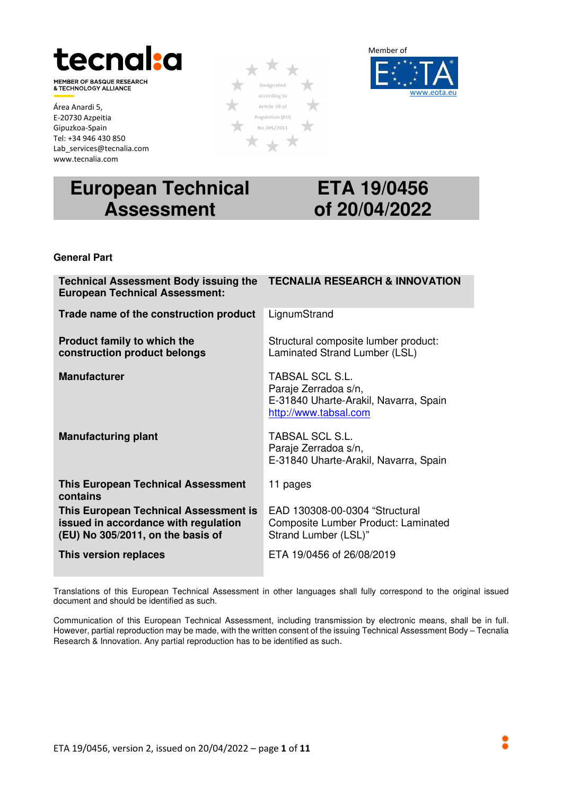

MEMBER OF BASQUE RESEARCH<br>& TECHNOLOGY ALLIANCE

Área Anardi 5, E-20730 Azpeitia Gipuzkoa-Spain Tel: +34 946 430 850 Lab services@tecnalia.com www.tecnalia.com

# **European Technical Assessment**

## **ETA 19/0456 of 20/04/2022**

#### **General Part**

| <b>Technical Assessment Body issuing the</b><br><b>European Technical Assessment:</b>                              | <b>TECNALIA RESEARCH &amp; INNOVATION</b>                                                                 |
|--------------------------------------------------------------------------------------------------------------------|-----------------------------------------------------------------------------------------------------------|
| Trade name of the construction product                                                                             | LignumStrand                                                                                              |
| Product family to which the<br>construction product belongs                                                        | Structural composite lumber product:<br>Laminated Strand Lumber (LSL)                                     |
| <b>Manufacturer</b>                                                                                                | TABSAL SCL S.L.<br>Paraje Zerradoa s/n,<br>E-31840 Uharte-Arakil, Navarra, Spain<br>http://www.tabsal.com |
| <b>Manufacturing plant</b>                                                                                         | <b>TABSAL SCL S.L.</b><br>Paraje Zerradoa s/n,<br>E-31840 Uharte-Arakil, Navarra, Spain                   |
| <b>This European Technical Assessment</b><br>contains                                                              | 11 pages                                                                                                  |
| This European Technical Assessment is<br>issued in accordance with regulation<br>(EU) No 305/2011, on the basis of | EAD 130308-00-0304 "Structural<br>Composite Lumber Product: Laminated<br>Strand Lumber (LSL)"             |
| This version replaces                                                                                              | ETA 19/0456 of 26/08/2019                                                                                 |

Translations of this European Technical Assessment in other languages shall fully correspond to the original issued document and should be identified as such.

Communication of this European Technical Assessment, including transmission by electronic means, shall be in full. However, partial reproduction may be made, with the written consent of the issuing Technical Assessment Body – Tecnalia Research & Innovation. Any partial reproduction has to be identified as such.



Designated according to Article 29 of Regulation (EU) No 305/2011

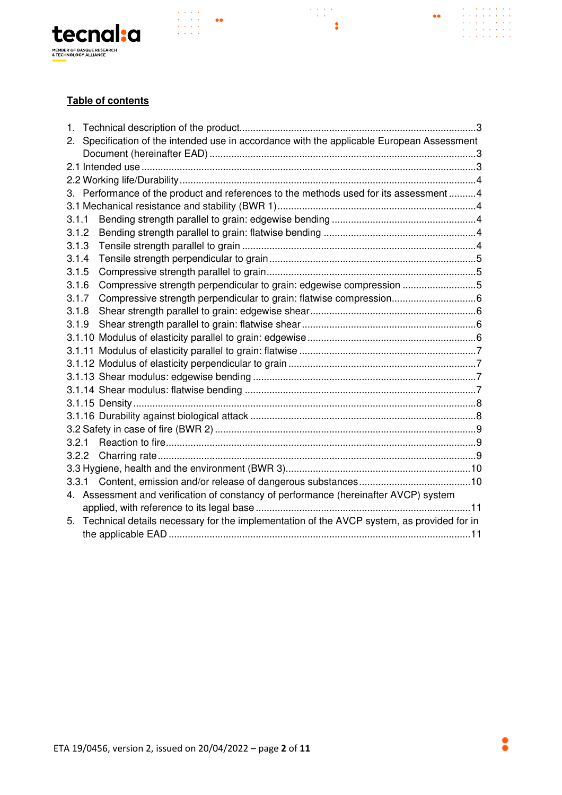

#### **Table of contents**

 $\begin{array}{l} \left( \begin{array}{ccc} 1 & 0 & 0 & 0 \\ 0 & 0 & 0 & 0 \\ 0 & 0 & 0 & 0 \\ 0 & 0 & 0 & 0 \\ 0 & 0 & 0 & 0 \end{array} \right) & \bullet \bullet \\ \left( \begin{array}{ccc} 0 & 0 & 0 \\ 0 & 0 & 0 \\ 0 & 0 & 0 & 0 \\ 0 & 0 & 0 & 0 \end{array} \right) & \bullet \bullet \end{array}$ 

| 1.    |                                                                                           |  |
|-------|-------------------------------------------------------------------------------------------|--|
| 2.    | Specification of the intended use in accordance with the applicable European Assessment   |  |
|       |                                                                                           |  |
|       |                                                                                           |  |
|       |                                                                                           |  |
|       | 3. Performance of the product and references to the methods used for its assessment  4    |  |
|       |                                                                                           |  |
| 3.1.1 |                                                                                           |  |
| 3.1.2 |                                                                                           |  |
| 3.1.3 |                                                                                           |  |
| 3.1.4 |                                                                                           |  |
| 3.1.5 |                                                                                           |  |
| 3.1.6 | Compressive strength perpendicular to grain: edgewise compression 5                       |  |
| 3.1.7 |                                                                                           |  |
| 3.1.8 |                                                                                           |  |
| 3.1.9 |                                                                                           |  |
|       |                                                                                           |  |
|       |                                                                                           |  |
|       |                                                                                           |  |
|       |                                                                                           |  |
|       |                                                                                           |  |
|       |                                                                                           |  |
|       |                                                                                           |  |
|       |                                                                                           |  |
| 3.2.1 |                                                                                           |  |
| 3.2.2 |                                                                                           |  |
|       |                                                                                           |  |
|       | 3.3.1                                                                                     |  |
|       | 4. Assessment and verification of constancy of performance (hereinafter AVCP) system      |  |
|       |                                                                                           |  |
| 5.    | Technical details necessary for the implementation of the AVCP system, as provided for in |  |
|       |                                                                                           |  |

 $\frac{1}{2} \sum_{i=1}^{n} \frac{1}{2} \sum_{j=1}^{n} \frac{1}{2}$ 

 $\ddot{\cdot}$ 

 $\bullet\bullet$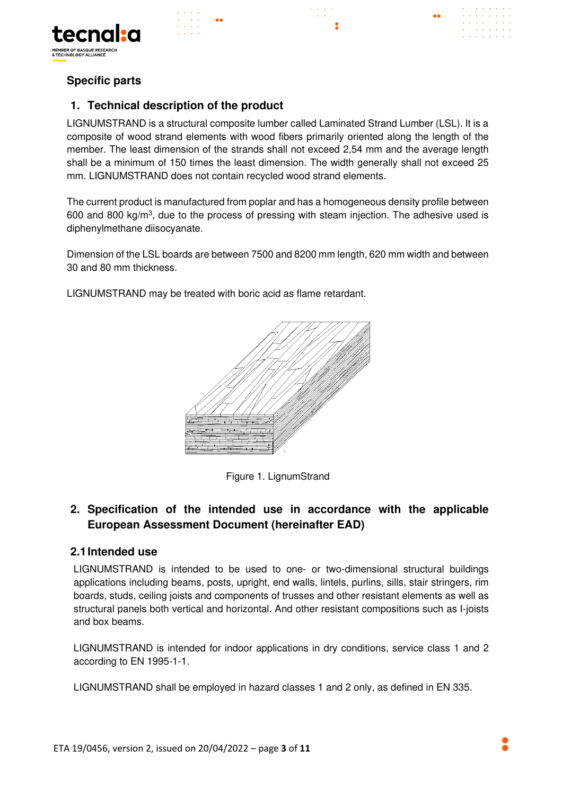



#### **Specific parts**

#### **1. Technical description of the product**

LIGNUMSTRAND is a structural composite lumber called Laminated Strand Lumber (LSL). It is a composite of wood strand elements with wood fibers primarily oriented along the length of the member. The least dimension of the strands shall not exceed 2,54 mm and the average length shall be a minimum of 150 times the least dimension. The width generally shall not exceed 25 mm. LIGNUMSTRAND does not contain recycled wood strand elements.

The current product is manufactured from poplar and has a homogeneous density profile between 600 and 800 kg/ $m<sup>3</sup>$ , due to the process of pressing with steam injection. The adhesive used is diphenylmethane diisocyanate.

Dimension of the LSL boards are between 7500 and 8200 mm length, 620 mm width and between 30 and 80 mm thickness.

LIGNUMSTRAND may be treated with boric acid as flame retardant.



Figure 1. LignumStrand

#### **2. Specification of the intended use in accordance with the applicable European Assessment Document (hereinafter EAD)**

#### **2.1 Intended use**

LIGNUMSTRAND is intended to be used to one- or two-dimensional structural buildings applications including beams, posts, upright, end walls, lintels, purlins, sills, stair stringers, rim boards, studs, ceiling joists and components of trusses and other resistant elements as well as structural panels both vertical and horizontal. And other resistant compositions such as I-joists and box beams.

LIGNUMSTRAND is intended for indoor applications in dry conditions, service class 1 and 2 according to EN 1995-1-1.

LIGNUMSTRAND shall be employed in hazard classes 1 and 2 only, as defined in EN 335.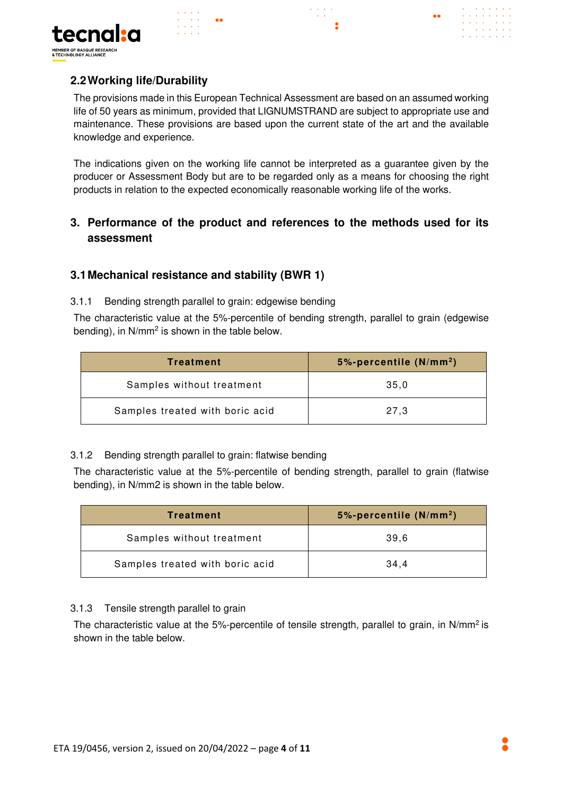

# **2.2 Working life/Durability**

The provisions made in this European Technical Assessment are based on an assumed working life of 50 years as minimum, provided that LIGNUMSTRAND are subject to appropriate use and maintenance. These provisions are based upon the current state of the art and the available knowledge and experience.

The indications given on the working life cannot be interpreted as a guarantee given by the producer or Assessment Body but are to be regarded only as a means for choosing the right products in relation to the expected economically reasonable working life of the works.

### **3. Performance of the product and references to the methods used for its assessment**

#### **3.1 Mechanical resistance and stability (BWR 1)**

3.1.1 Bending strength parallel to grain: edgewise bending

The characteristic value at the 5%-percentile of bending strength, parallel to grain (edgewise bending), in N/mm<sup>2</sup> is shown in the table below.

| Treatment                       | $5\%$ -percentile (N/mm <sup>2</sup> ) |
|---------------------------------|----------------------------------------|
| Samples without treatment       | 35.0                                   |
| Samples treated with boric acid | 27.3                                   |

#### 3.1.2 Bending strength parallel to grain: flatwise bending

The characteristic value at the 5%-percentile of bending strength, parallel to grain (flatwise bending), in N/mm2 is shown in the table below.

| Treatment                       | 5%-percentile $(N/mm2)$ |
|---------------------------------|-------------------------|
| Samples without treatment       | 39.6                    |
| Samples treated with boric acid | 34.4                    |

#### 3.1.3 Tensile strength parallel to grain

The characteristic value at the 5%-percentile of tensile strength, parallel to grain, in N/mm<sup>2</sup> is shown in the table below.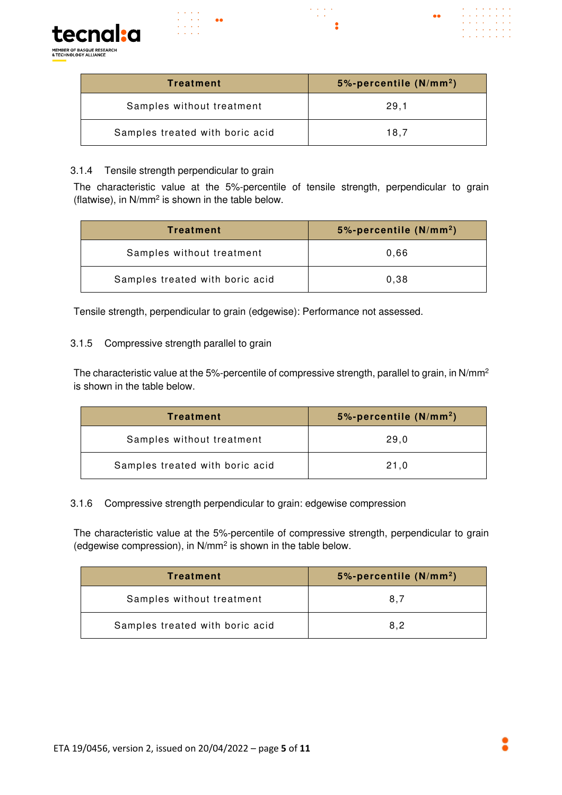

| Treatment                       | 5%-percentile $(N/mm2)$ |
|---------------------------------|-------------------------|
| Samples without treatment       | 29.1                    |
| Samples treated with boric acid | 18.7                    |

 $\mathbb{Z}^{\mathbb{Z}}$  .

#### 3.1.4 Tensile strength perpendicular to grain

The characteristic value at the 5%-percentile of tensile strength, perpendicular to grain (flatwise), in  $N/mm^2$  is shown in the table below.

| Treatment                       | $5\%$ -percentile (N/mm <sup>2</sup> ) |
|---------------------------------|----------------------------------------|
| Samples without treatment       | 0.66                                   |
| Samples treated with boric acid | 0,38                                   |

Tensile strength, perpendicular to grain (edgewise): Performance not assessed.

#### 3.1.5 Compressive strength parallel to grain

The characteristic value at the 5%-percentile of compressive strength, parallel to grain, in N/mm<sup>2</sup> is shown in the table below.

| Treatment                       | 5%-percentile $(N/mm2)$ |
|---------------------------------|-------------------------|
| Samples without treatment       | 29,0                    |
| Samples treated with boric acid | 21.0                    |

#### 3.1.6 Compressive strength perpendicular to grain: edgewise compression

The characteristic value at the 5%-percentile of compressive strength, perpendicular to grain (edgewise compression), in N/mm<sup>2</sup> is shown in the table below.

| Treatment                       | 5%-percentile $(N/mm2)$ |
|---------------------------------|-------------------------|
| Samples without treatment       | 8.7                     |
| Samples treated with boric acid | 8.2                     |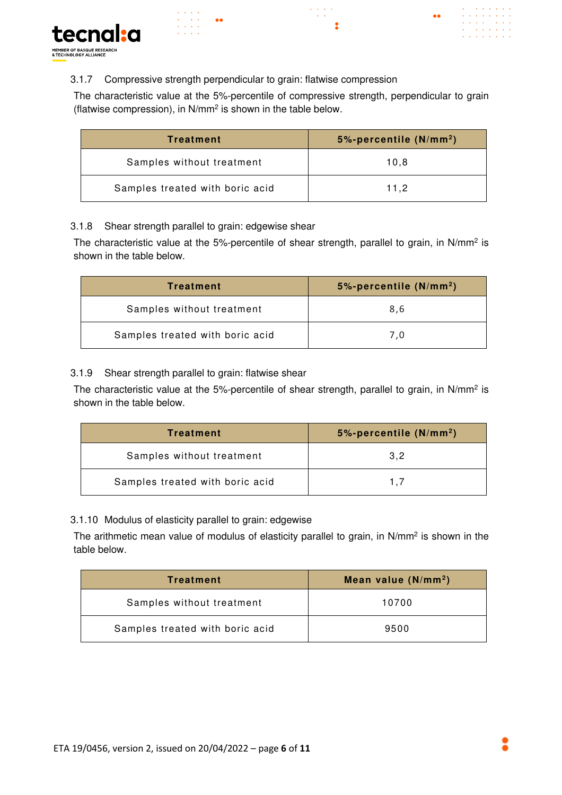

#### 3.1.7 Compressive strength perpendicular to grain: flatwise compression

é.

The characteristic value at the 5%-percentile of compressive strength, perpendicular to grain (flatwise compression), in N/mm<sup>2</sup> is shown in the table below.

| Treatment                       | $5\%$ -percentile (N/mm <sup>2</sup> ) |
|---------------------------------|----------------------------------------|
| Samples without treatment       | 10.8                                   |
| Samples treated with boric acid | 11.2                                   |

#### 3.1.8 Shear strength parallel to grain: edgewise shear

The characteristic value at the 5%-percentile of shear strength, parallel to grain, in N/mm<sup>2</sup> is shown in the table below.

| Treatment                       | 5%-percentile $(N/mm2)$ |
|---------------------------------|-------------------------|
| Samples without treatment       | 8,6                     |
| Samples treated with boric acid | 7.0                     |

#### 3.1.9 Shear strength parallel to grain: flatwise shear

The characteristic value at the 5%-percentile of shear strength, parallel to grain, in N/mm<sup>2</sup> is shown in the table below.

| <b>Treatment</b>                | 5%-percentile $(N/mm2)$ |
|---------------------------------|-------------------------|
| Samples without treatment       | 3.2                     |
| Samples treated with boric acid | 17                      |

3.1.10 Modulus of elasticity parallel to grain: edgewise

The arithmetic mean value of modulus of elasticity parallel to grain, in N/mm<sup>2</sup> is shown in the table below.

| Treatment                       | Mean value $(N/mm2)$ |
|---------------------------------|----------------------|
| Samples without treatment       | 10700                |
| Samples treated with boric acid | 9500                 |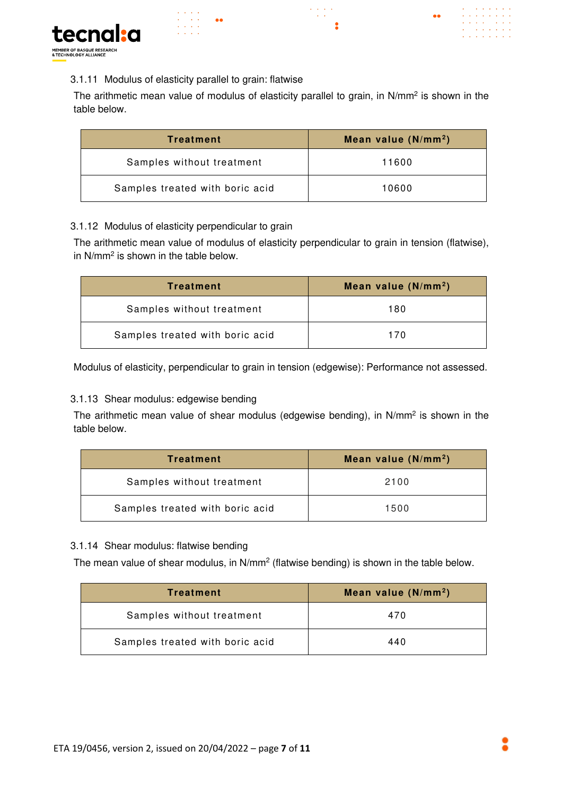

#### 3.1.11 Modulus of elasticity parallel to grain: flatwise

The arithmetic mean value of modulus of elasticity parallel to grain, in N/mm<sup>2</sup> is shown in the table below.

| Treatment                       | Mean value $(N/mm2)$ |  |
|---------------------------------|----------------------|--|
| Samples without treatment       | 11600                |  |
| Samples treated with boric acid | 10600                |  |

#### 3.1.12 Modulus of elasticity perpendicular to grain

The arithmetic mean value of modulus of elasticity perpendicular to grain in tension (flatwise), in N/mm<sup>2</sup> is shown in the table below.

| Treatment                       | Mean value $(N/mm2)$ |  |
|---------------------------------|----------------------|--|
| Samples without treatment       | 180                  |  |
| Samples treated with boric acid | 170                  |  |

Modulus of elasticity, perpendicular to grain in tension (edgewise): Performance not assessed.

#### 3.1.13 Shear modulus: edgewise bending

The arithmetic mean value of shear modulus (edgewise bending), in N/mm<sup>2</sup> is shown in the table below.

| Treatment                       | Mean value $(N/mm2)$ |
|---------------------------------|----------------------|
| Samples without treatment       | 2100                 |
| Samples treated with boric acid | 1500                 |

#### 3.1.14 Shear modulus: flatwise bending

The mean value of shear modulus, in  $N/mm^2$  (flatwise bending) is shown in the table below.

| Treatment                       | Mean value $(N/mm2)$ |
|---------------------------------|----------------------|
| Samples without treatment       | 470                  |
| Samples treated with boric acid | 440                  |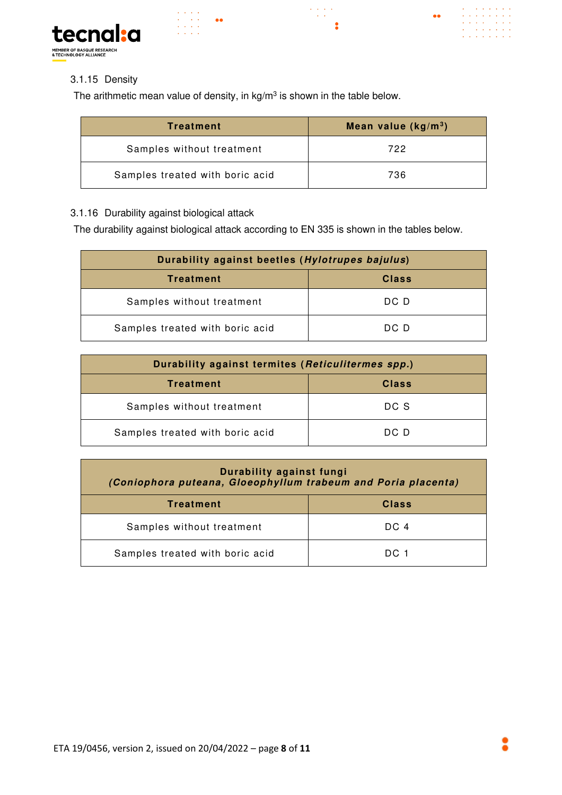







#### 3.1.15 Density

The arithmetic mean value of density, in  $kg/m^3$  is shown in the table below.

| Treatment                       | Mean value $(kg/m3)$ |  |
|---------------------------------|----------------------|--|
| Samples without treatment       | 722                  |  |
| Samples treated with boric acid | 736                  |  |

#### 3.1.16 Durability against biological attack

The durability against biological attack according to EN 335 is shown in the tables below.

| Durability against beetles (Hylotrupes bajulus) |              |  |
|-------------------------------------------------|--------------|--|
| <b>Treatment</b>                                | <b>Class</b> |  |
| Samples without treatment                       | DC D         |  |
| Samples treated with boric acid                 | DC D         |  |

| Durability against termites (Reticulitermes spp.) |              |  |
|---------------------------------------------------|--------------|--|
| <b>Treatment</b>                                  | <b>Class</b> |  |
| Samples without treatment                         | DC S         |  |
| Samples treated with boric acid                   | DC D         |  |

| Durability against fungi<br>(Coniophora puteana, Gloeophyllum trabeum and Poria placenta) |              |  |
|-------------------------------------------------------------------------------------------|--------------|--|
| <b>Treatment</b>                                                                          | <b>Class</b> |  |
| Samples without treatment                                                                 | DC 4         |  |
| Samples treated with boric acid                                                           | DC 1         |  |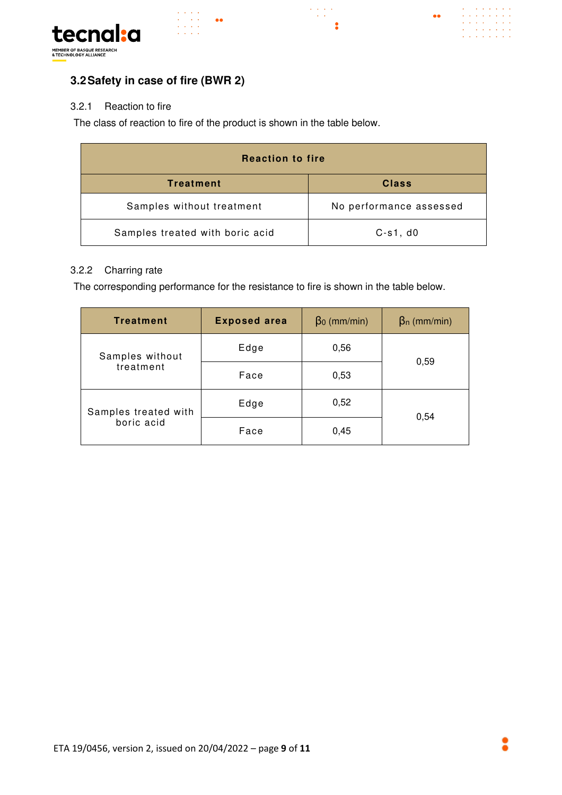

 $\label{eq:2} \begin{array}{c} \mathcal{L}^{\alpha}(\mathcal{L}^{\alpha},\mathcal{L}^{\alpha},\mathcal{L}^{\alpha})\\ \mathcal{L}^{\alpha}(\mathcal{L}^{\alpha},\mathcal{L}^{\alpha}) \end{array}$ 

 $\bullet$ 

 $\bullet \bullet$ 



 $\sim 10$ 

 $\mathcal{L}^{\text{max}}$ 

 $\bullet\bullet$ 

#### 3.2.1 Reaction to fire

The class of reaction to fire of the product is shown in the table below.

| <b>Reaction to fire</b>         |                         |  |
|---------------------------------|-------------------------|--|
| <b>Treatment</b>                | <b>Class</b>            |  |
| Samples without treatment       | No performance assessed |  |
| Samples treated with boric acid | $C-s1$ , $d0$           |  |

#### 3.2.2 Charring rate

The corresponding performance for the resistance to fire is shown in the table below.

| <b>Treatment</b>                   | <b>Exposed area</b> | $\beta_0$ (mm/min) | $\beta_n$ (mm/min) |
|------------------------------------|---------------------|--------------------|--------------------|
| Samples without<br>treatment       | Edge                | 0,56               | 0,59               |
|                                    | Face                | 0,53               |                    |
| Samples treated with<br>boric acid | Edge                | 0,52               | 0,54               |
|                                    | Face                | 0,45               |                    |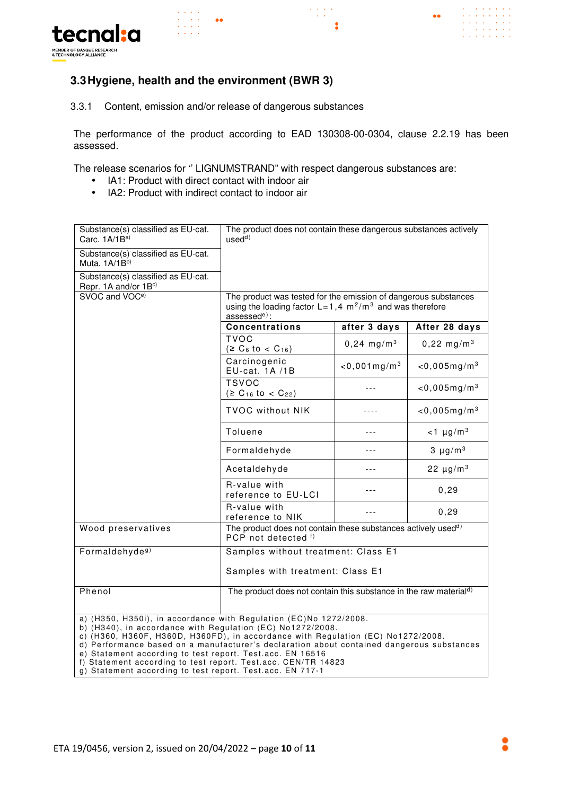

#### **3.3 Hygiene, health and the environment (BWR 3)**

 $\begin{array}{l} \mathcal{L}_{\mathcal{A}}(\mathcal{A}) \rightarrow \mathcal{A} \\ \mathcal{L}_{\mathcal{A}}(\mathcal{A}) \rightarrow \mathcal{A} \end{array}$ 

3.3.1 Content, emission and/or release of dangerous substances

 $\bullet$ 

The performance of the product according to EAD 130308-00-0304, clause 2.2.19 has been assessed.

 $\begin{array}{l} \mathcal{L}^{\mathcal{A}}(\mathcal{A}) \rightarrow \mathcal{A} \\ \mathcal{L}^{\mathcal{A}}(\mathcal{A}) \rightarrow \mathcal{A} \end{array}$ 

 $\overline{\mathbf{z}}$ 

 $\bullet \bullet$ 

 $\mathbb{Z}^{\mathbb{Z}^2}$  .

 $\mathbf{1}^{\prime}$  ,  $\mathbf{1}^{\prime}$  ,  $\mathbf{1}^{\prime}$  ,  $\mathbf{1}^{\prime}$ 

**Carl Carl** 

The release scenarios for '' LIGNUMSTRAND" with respect dangerous substances are:

- IA1: Product with direct contact with indoor air
- IA2: Product with indirect contact to indoor air

| Substance(s) classified as EU-cat.<br>Carc. 1A/1B <sup>a)</sup>                                                                                                                                                                                                                                                                                                                                                                                | The product does not contain these dangerous substances actively<br>used <sup>d)</sup>                                                                                     |                             |                            |
|------------------------------------------------------------------------------------------------------------------------------------------------------------------------------------------------------------------------------------------------------------------------------------------------------------------------------------------------------------------------------------------------------------------------------------------------|----------------------------------------------------------------------------------------------------------------------------------------------------------------------------|-----------------------------|----------------------------|
| Substance(s) classified as EU-cat.<br>Muta. 1A/1Bb)                                                                                                                                                                                                                                                                                                                                                                                            |                                                                                                                                                                            |                             |                            |
| Substance(s) classified as EU-cat.<br>Repr. 1A and/or 1Bc)                                                                                                                                                                                                                                                                                                                                                                                     |                                                                                                                                                                            |                             |                            |
| SVOC and VOC <sup>e)</sup>                                                                                                                                                                                                                                                                                                                                                                                                                     | The product was tested for the emission of dangerous substances<br>using the loading factor $L = 1.4 \text{ m}^2/\text{m}^3$ and was therefore<br>assessed <sup>e)</sup> : |                             |                            |
|                                                                                                                                                                                                                                                                                                                                                                                                                                                | <b>Concentrations</b><br>after 3 days<br>After 28 days                                                                                                                     |                             |                            |
|                                                                                                                                                                                                                                                                                                                                                                                                                                                | <b>TVOC</b><br>$(2 C_6$ to < C <sub>16</sub> )                                                                                                                             | $0,24 \, \text{mg/m}^3$     | $0,22 \text{ mg/m}^3$      |
|                                                                                                                                                                                                                                                                                                                                                                                                                                                | Carcinogenic<br>EU-cat. 1A /1B                                                                                                                                             | $<$ 0,001 mg/m <sup>3</sup> | $<$ 0,005mg/m <sup>3</sup> |
|                                                                                                                                                                                                                                                                                                                                                                                                                                                | <b>TSVOC</b><br>$(2 C_{16} to C_{22})$                                                                                                                                     |                             | $<$ 0,005mg/m <sup>3</sup> |
|                                                                                                                                                                                                                                                                                                                                                                                                                                                | <b>TVOC without NIK</b>                                                                                                                                                    |                             | $<$ 0,005mg/m <sup>3</sup> |
|                                                                                                                                                                                                                                                                                                                                                                                                                                                | Toluene                                                                                                                                                                    |                             | $<$ 1 µg/m <sup>3</sup>    |
|                                                                                                                                                                                                                                                                                                                                                                                                                                                | Formaldehyde                                                                                                                                                               | ---                         | $3 \mu g/m^3$              |
|                                                                                                                                                                                                                                                                                                                                                                                                                                                | Acetaldehyde                                                                                                                                                               |                             | 22 $\mu$ g/m <sup>3</sup>  |
|                                                                                                                                                                                                                                                                                                                                                                                                                                                | R-value with<br>reference to EU-LCI                                                                                                                                        |                             | 0, 29                      |
|                                                                                                                                                                                                                                                                                                                                                                                                                                                | R-value with<br>reference to NIK                                                                                                                                           |                             | 0, 29                      |
| Wood preservatives                                                                                                                                                                                                                                                                                                                                                                                                                             | The product does not contain these substances actively used <sup>d)</sup><br>PCP not detected f)                                                                           |                             |                            |
| Formaldehyde <sup>g)</sup>                                                                                                                                                                                                                                                                                                                                                                                                                     | Samples without treatment: Class E1                                                                                                                                        |                             |                            |
|                                                                                                                                                                                                                                                                                                                                                                                                                                                | Samples with treatment: Class E1                                                                                                                                           |                             |                            |
| Phenol                                                                                                                                                                                                                                                                                                                                                                                                                                         | The product does not contain this substance in the raw material <sup>d)</sup>                                                                                              |                             |                            |
| a) (H350, H350i), in accordance with Regulation (EC)No 1272/2008.<br>b) (H340), in accordance with Regulation (EC) No1272/2008.<br>c) (H360, H360F, H360D, H360FD), in accordance with Regulation (EC) No1272/2008.<br>d) Performance based on a manufacturer's declaration about contained dangerous substances<br>e) Statement according to test report. Test.acc. EN 16516<br>f) Statement according to test report. Test.acc. CEN/TR 14823 |                                                                                                                                                                            |                             |                            |

g) Statement according to test report. Test.acc. EN 717-1